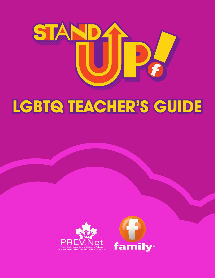

# **LGBTQ TEACHER'S GUIDE**



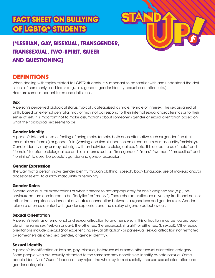## **FACT SHEET ON BULLYING OF LGBTQ\* STUDENTS**



## **(\*LESBIAN, GAY, BISEXUAL, TRANSGENDER, TRANSSEXUAL, TWO-SPIRIT, QUEER AND QUESTIONING)**

### **DEFINITIONS**

When dealing with topics related to LGBTQ students, it is important to be familiar with and understand the definitions of commonly used terms (e.g., sex, gender, gender identity, sexual orientation, etc.). Here are some important terms and definitions.

#### **Sex**

A person's perceived biological status, typically categorized as male, female or intersex. The sex assigned at birth, based on external genitalia, may or may not correspond to their internal sexual characteristics or to their sense of self. It is important not to make assumptions about someone's gender or sexual orientation based on what their biological sex seems to be.

#### **Gender Identity**

A person's internal sense or feeling of being male, female, both or an alternative such as gender-free (neither male nor female) or gender fluid (varying and flexible location on a continuum of masculinity/femininity). Gender identity may or may not align with an individual's biological sex. Note: it is correct to use "male" and "female" to refer to biological sex and social terms such as "transgender," "man," "woman," "masculine" and "feminine" to describe people's gender and gender expression.

#### **Gender Expression**

The way that a person shows gender identity through clothing, speech, body language, use of makeup and/or accessories etc. to display masculinity or femininity.

#### **Gender Roles**

Societal and cultural expectations of what it means to act appropriately for one's assigned sex (e.g., behaviours that are considered to be "ladylike" or "manly"). These characteristics are driven by traditional notions rather than empirical evidence of any natural connection between assigned sex and gender roles. Gender roles are often associated with gender expression and the display of gendered behaviour.

#### **Sexual Orientation**

A person's feelings of emotional and sexual attraction to another person. This attraction may be toward people of the same sex (lesbian or gay), the other sex (heterosexual, straight) or either sex (bisexual). Other sexual orientations include asexual (not experiencing sexual attraction) or pansexual (sexual attraction not restricted by someone's assigned sex, gender, or gender identity).

#### **Sexual Identity**

A person's identification as lesbian, gay, bisexual, heterosexual or some other sexual orientation category. Some people who are sexually attracted to the same sex may nonetheless identify as heterosexual. Some people identify as "Queer" because they reject the whole system of socially-imposed sexual orientation and gender categories.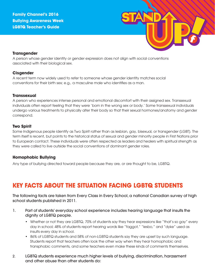

#### **Transgender**

A person whose gender identity or gender expression does not align with social conventions associated with their biological sex.

#### **Cisgender**

A recent term now widely used to refer to someone whose gender identity matches social conventions for their birth sex; e.g., a masculine male who identifies as a man.

#### **Transsexual**

A person who experiences intense personal and emotional discomfort with their assigned sex. Transsexual individuals often report feeling that they were 'born in the wrong sex or body.' Some transsexual individuals undergo various treatments to physically alter their body so that their sexual hormones/anatomy and gender correspond.

#### **Two Spirit**

Some Indigenous people identify as Two Spirit rather than as lesbian, gay, bisexual, or transgender (LGBT). The term itself is recent, but points to the historical status of sexual and gender minority people in First Nations prior to European contact. These individuals were often respected as leaders and healers with spiritual strength as they were called to live outside the social conventions of dominant gender roles.

#### **Homophobic Bullying**

Any type of bullying directed toward people because they are, or are thought to be, LGBTQ.

## **KEY FACTS ABOUT THE SITUATION FACING LGBTQ STUDENTS**

The following facts are taken from Every Class in Every School, a national Canadian survey of high school students published in 2011.

- 1. Part of students' everyday school experience includes hearing language that insults the dignity of LGBTQ people.
	- Whether or not they are LGBTQ, 70% of students say they hear expressions like "that's so gay" every day in school; 48% of students report hearing words like "faggot," "lesbo," and "dyke" used as insults every day in school.
	- 86% of LGBTQ students and 58% of non-LGBTQ students say they are upset by such language. Students report that teachers often look the other way when they hear homophobic and transphobic comments, and some teachers even make these kinds of comments themselves.
- 2. LGBTQ students experience much higher levels of bullying, discrimination, harassment and other abuse than other students do: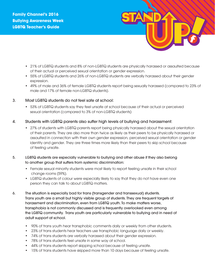

- 21% of LGBTQ students and 8% of non-LGBTQ students are physically harassed or assaulted because of their actual or perceived sexual orientation or gender expression.
- 55% of LGBTQ students and 26% of non-LGBTQ students are verbally harassed about their gender expression.
- 49% of male and 36% of female LGBTQ students report being sexually harassed (compared to 23% of male and 17% of female non-LGBTQ students).
- 3. Most LGBTQ students do not feel safe at school:
	- 53% of LGBTQ students say they feel unsafe at school because of their actual or perceived sexual orientation (compared to 3% of non-LGBTQ students)
- 4. Students with LGBTQ parents also suffer high levels of bullying and harassment:
	- 27% of students with LGBTQ parents report being physically harassed about the sexual orientation of their parents. They are also more than twice as likely as their peers to be physically harassed or assaulted in connection with their own gender expression, perceived sexual orientation or gender identity and gender. They are three times more likely than their peers to skip school because of feeling unsafe.
- 5. LGBTQ students are especially vulnerable to bullying and other abuse if they also belong to another group that suffers from systemic discrimination:
	- Female sexual minority students were most likely to report feeling unsafe in their school change rooms (59%).
	- LGBTQ students of colour were especially likely to say that they do not have even one person they can talk to about LGBTQ matters.
- 6. The situation is especially bad for trans (transgender and transsexual) students. Trans youth are a small but highly visible group of students. They are frequent targets of harassment and discrimination, even from LGBTQ youth. To make matters worse, transphobia is not commonly discussed and is frequently overlooked even among the LGBTQ community. Trans youth are particularly vulnerable to bullying and in need of adult support at school.
	- 90% of trans youth hear transphobic comments daily or weekly from other students.
	- 23% of trans students hear teachers use transphobic language daily or weekly.
	- 74% of trans students are verbally harassed about their gender expression.
	- 78% of trans students feel unsafe in some way at school.
	- 44% of trans students report skipping school because of feeling unsafe.
	- 15% of trans students have skipped more than 10 days because of feeling unsafe.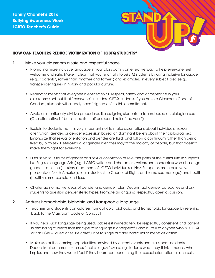

#### **HOW CAN TEACHERS REDUCE VICTIMIZATION OF LGBTQ STUDENTS?**

#### 1. Make your classroom a safe and respectful space.

- Promoting more inclusive language in your classroom is an effective way to help everyone feel welcome and safe. Make it clear that you're an ally to LGBTQ students by using inclusive language (e.g., "parents", rather than "mother and father") and examples, in every subject area (e.g., transgender figures in history and popular culture).
- Remind students that everyone is entitled to full respect, safety and acceptance in your classroom; spell out that "everyone" includes LGBTQ students. If you have a Classroom Code of Conduct, students will already have "signed on" to this commitment.
- Avoid unintentionally divisive procedures like assigning students to teams based on biological sex. (One alternative is "born in the first half or second half of the year").
- Explain to students that it is very important not to make assumptions about individuals' sexual orientation, gender, or gender expression based on dominant beliefs about their biological sex. Emphasize that sexual orientation and gender are fluid, and fall on a continuum rather than being fixed by birth sex. Heterosexual cisgender identities may fit the majority of people, but that doesn't make them right for everyone.
- Discuss various forms of gender and sexual orientation at relevant parts of the curriculum in subjects like English Language Arts (e.g., LGBTQ writers and characters, writers and characters who challenge gender restrictions), history (treatment of LGBTQ individuals in Nazi Europe or, more positively, pre-contact North America), social studies (the Charter of Rights and same-sex marriage) and health (healthy same-sex relationships).
- Challenge normative ideas of gender and gender roles. Deconstruct gender categories and ask students to question gender stereotypes. Promote an ongoing respectful, open discussion.

#### 2. Address homophobic, biphobic, and transphobic language.

- Teachers and students can address homophobic, biphobic, and transphobic language by referring back to the Classroom Code of Conduct
- If you hear such language being used, address it immediately. Be respectful, consistent and patient in reminding students that this type of language is disrespectful and hurtful to anyone who is LGBTQ or has LGBTQ loved ones. Be careful not to single out any particular students as victims.
- Make use of the learning opportunities provided by current events and classroom incidents. Deconstruct comments such as "that's so gay" by asking students what they think it means, what it implies and how they would feel if they heard someone using their sexual orientation as an insult.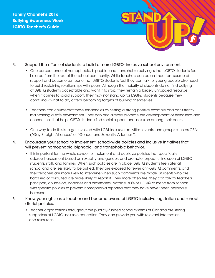

#### 3. Support the efforts of students to build a more LGBTQ- inclusive school environment.

- One consequence of homophobic, biphobic, and transphobic bullying is that LGBTQ students feel isolated from the rest of the school community. While teachers can be an important source of support and become someone that LGBTQ students feel they can talk to, young people also need to build sustaining relationships with peers. Although the majority of students do not find bullying of LGBTQ students acceptable and want it to stop, they remain a largely untapped resource when it comes to social support. They may not stand up for LGBTQ students because they don't know what to do, or fear becoming targets of bullying themselves.
- Teachers can counteract these tendencies by setting a strong positive example and consistently maintaining a safe environment. They can also directly promote the development of friendships and connections that help LGBTQ students find social support and inclusion among their peers.
- One way to do this is to get involved with LGBT-inclusive activities, events, and groups such as GSAs ("Gay-Straight Alliances" or "Gender and Sexuality Alliances").
- 4. Encourage your school to implement school-wide policies and inclusive initiatives that will prevent homophobic, biphobic, and transphobic behavior.
	- It is important for the whole school to implement and publicize policies that specifically address harassment based on sexuality and gender, and promote respectful inclusion of LGBTQ students, staff, and families. When such policies are in place, LGBTQ students feel safer at school and are less likely to be bullied. They are exposed to fewer anti-LGBTQ comments, and their teachers are more likely to intervene when such comments are made. Students who are harassed or assaulted are more likely to report it. They more often feel they can talk to teachers, principals, counselors, coaches and classmates. Notably, 80% of LGBTQ students from schools with specific policies to prevent homophobia reported that they have never been physically harassed.
- 5. Know your rights as a teacher and become aware of LGBTQ-inclusive legislation and school district policies.
	- Teacher organizations throughout the publicly-funded school systems of Canada are strong supporters of LGBTQ-inclusive education. They can provide you with relevant information and resources.